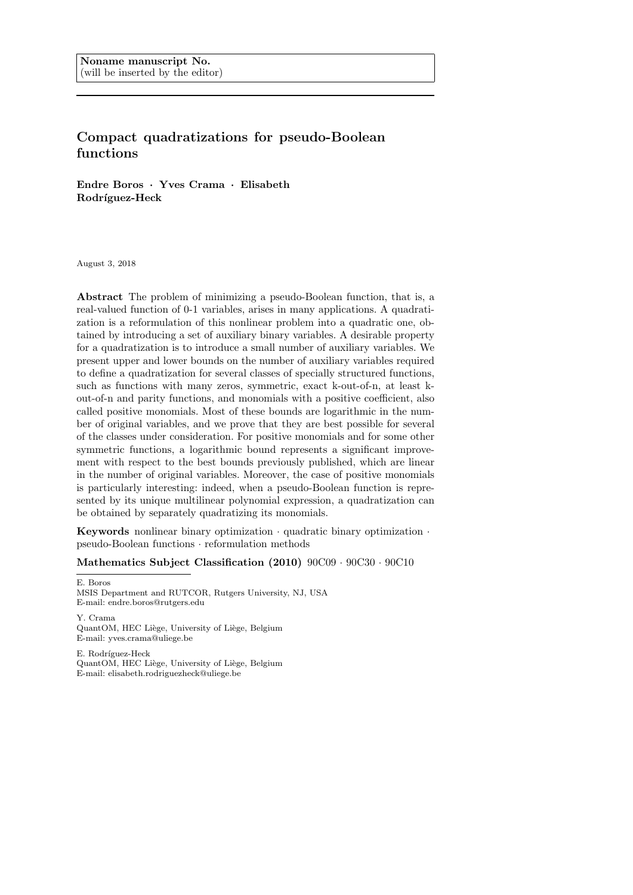# Compact quadratizations for pseudo-Boolean functions

Endre Boros · Yves Crama · Elisabeth Rodríguez-Heck

August 3, 2018

Abstract The problem of minimizing a pseudo-Boolean function, that is, a real-valued function of 0-1 variables, arises in many applications. A quadratization is a reformulation of this nonlinear problem into a quadratic one, obtained by introducing a set of auxiliary binary variables. A desirable property for a quadratization is to introduce a small number of auxiliary variables. We present upper and lower bounds on the number of auxiliary variables required to define a quadratization for several classes of specially structured functions, such as functions with many zeros, symmetric, exact k-out-of-n, at least kout-of-n and parity functions, and monomials with a positive coefficient, also called positive monomials. Most of these bounds are logarithmic in the number of original variables, and we prove that they are best possible for several of the classes under consideration. For positive monomials and for some other symmetric functions, a logarithmic bound represents a significant improvement with respect to the best bounds previously published, which are linear in the number of original variables. Moreover, the case of positive monomials is particularly interesting: indeed, when a pseudo-Boolean function is represented by its unique multilinear polynomial expression, a quadratization can be obtained by separately quadratizing its monomials.

Keywords nonlinear binary optimization · quadratic binary optimization · pseudo-Boolean functions · reformulation methods

Mathematics Subject Classification (2010) 90C09 · 90C30 · 90C10

E. Boros MSIS Department and RUTCOR, Rutgers University, NJ, USA E-mail: endre.boros@rutgers.edu

Y. Crama QuantOM, HEC Liège, University of Liège, Belgium E-mail: yves.crama@uliege.be

E. Rodríguez-Heck QuantOM, HEC Liège, University of Liège, Belgium E-mail: elisabeth.rodriguezheck@uliege.be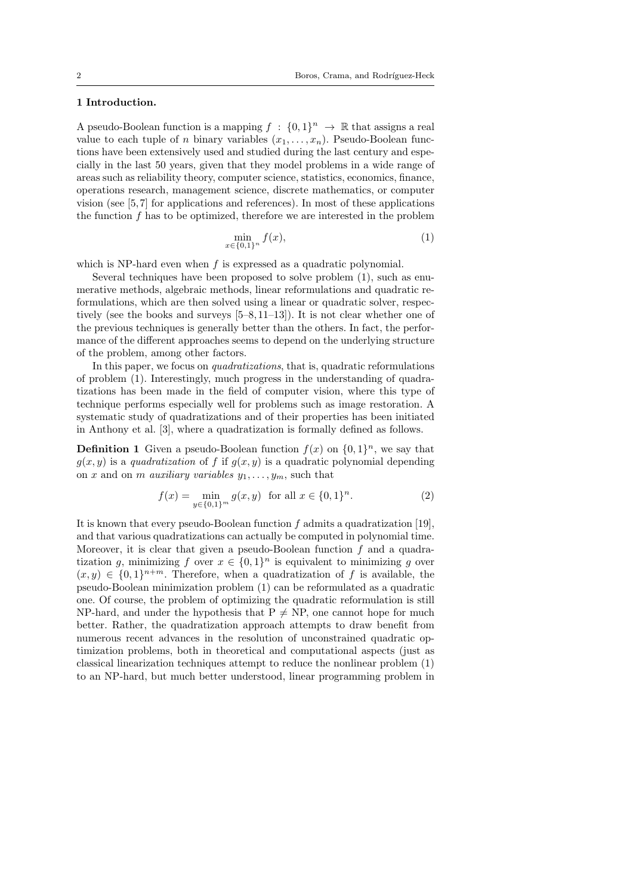## 1 Introduction.

A pseudo-Boolean function is a mapping  $f : \{0,1\}^n \to \mathbb{R}$  that assigns a real value to each tuple of n binary variables  $(x_1, \ldots, x_n)$ . Pseudo-Boolean functions have been extensively used and studied during the last century and especially in the last 50 years, given that they model problems in a wide range of areas such as reliability theory, computer science, statistics, economics, finance, operations research, management science, discrete mathematics, or computer vision (see [5, 7] for applications and references). In most of these applications the function  $f$  has to be optimized, therefore we are interested in the problem

$$
\min_{x \in \{0,1\}^n} f(x),\tag{1}
$$

which is NP-hard even when  $f$  is expressed as a quadratic polynomial.

Several techniques have been proposed to solve problem (1), such as enumerative methods, algebraic methods, linear reformulations and quadratic reformulations, which are then solved using a linear or quadratic solver, respectively (see the books and surveys [5–8, 11–13]). It is not clear whether one of the previous techniques is generally better than the others. In fact, the performance of the different approaches seems to depend on the underlying structure of the problem, among other factors.

In this paper, we focus on quadratizations, that is, quadratic reformulations of problem (1). Interestingly, much progress in the understanding of quadratizations has been made in the field of computer vision, where this type of technique performs especially well for problems such as image restoration. A systematic study of quadratizations and of their properties has been initiated in Anthony et al. [3], where a quadratization is formally defined as follows.

**Definition 1** Given a pseudo-Boolean function  $f(x)$  on  $\{0,1\}^n$ , we say that  $g(x, y)$  is a quadratization of f if  $g(x, y)$  is a quadratic polynomial depending on x and on m auxiliary variables  $y_1, \ldots, y_m$ , such that

$$
f(x) = \min_{y \in \{0,1\}^m} g(x, y) \text{ for all } x \in \{0,1\}^n.
$$
 (2)

It is known that every pseudo-Boolean function  $f$  admits a quadratization [19], and that various quadratizations can actually be computed in polynomial time. Moreover, it is clear that given a pseudo-Boolean function  $f$  and a quadratization g, minimizing f over  $x \in \{0,1\}^n$  is equivalent to minimizing g over  $(x, y) \in \{0, 1\}^{n+m}$ . Therefore, when a quadratization of f is available, the pseudo-Boolean minimization problem (1) can be reformulated as a quadratic one. Of course, the problem of optimizing the quadratic reformulation is still NP-hard, and under the hypothesis that  $P \neq NP$ , one cannot hope for much better. Rather, the quadratization approach attempts to draw benefit from numerous recent advances in the resolution of unconstrained quadratic optimization problems, both in theoretical and computational aspects (just as classical linearization techniques attempt to reduce the nonlinear problem (1) to an NP-hard, but much better understood, linear programming problem in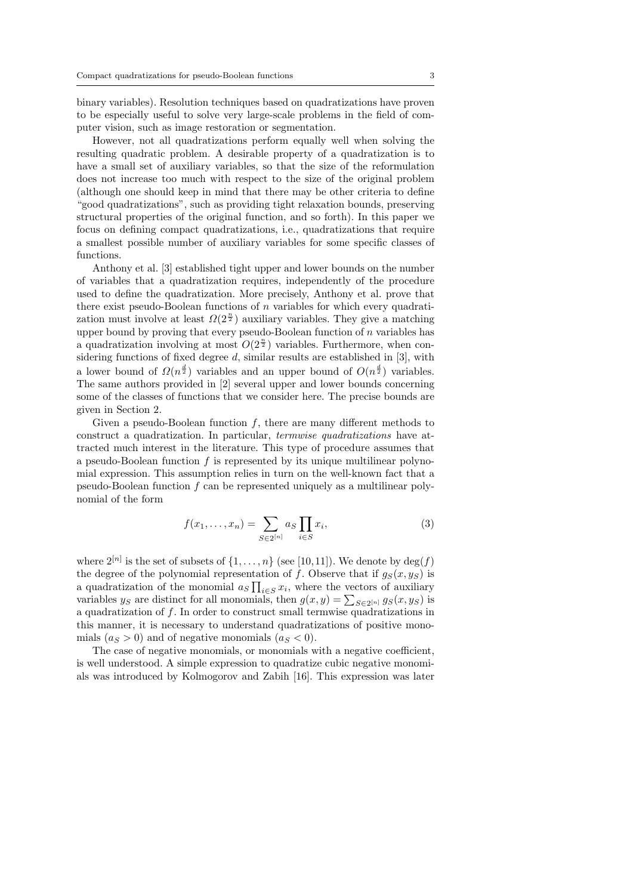binary variables). Resolution techniques based on quadratizations have proven to be especially useful to solve very large-scale problems in the field of computer vision, such as image restoration or segmentation.

However, not all quadratizations perform equally well when solving the resulting quadratic problem. A desirable property of a quadratization is to have a small set of auxiliary variables, so that the size of the reformulation does not increase too much with respect to the size of the original problem (although one should keep in mind that there may be other criteria to define "good quadratizations", such as providing tight relaxation bounds, preserving structural properties of the original function, and so forth). In this paper we focus on defining compact quadratizations, i.e., quadratizations that require a smallest possible number of auxiliary variables for some specific classes of functions.

Anthony et al. [3] established tight upper and lower bounds on the number of variables that a quadratization requires, independently of the procedure used to define the quadratization. More precisely, Anthony et al. prove that there exist pseudo-Boolean functions of  $n$  variables for which every quadratization must involve at least  $\Omega(2^{\frac{n}{2}})$  auxiliary variables. They give a matching upper bound by proving that every pseudo-Boolean function of  $n$  variables has a quadratization involving at most  $O(2^{\frac{n}{2}})$  variables. Furthermore, when considering functions of fixed degree  $d$ , similar results are established in [3], with a lower bound of  $\Omega(n^{\frac{d}{2}})$  variables and an upper bound of  $O(n^{\frac{d}{2}})$  variables. The same authors provided in [2] several upper and lower bounds concerning some of the classes of functions that we consider here. The precise bounds are given in Section 2.

Given a pseudo-Boolean function  $f$ , there are many different methods to construct a quadratization. In particular, termwise quadratizations have attracted much interest in the literature. This type of procedure assumes that a pseudo-Boolean function  $f$  is represented by its unique multilinear polynomial expression. This assumption relies in turn on the well-known fact that a pseudo-Boolean function  $f$  can be represented uniquely as a multilinear polynomial of the form

$$
f(x_1, ..., x_n) = \sum_{S \in 2^{[n]}} a_S \prod_{i \in S} x_i,
$$
 (3)

where  $2^{[n]}$  is the set of subsets of  $\{1, \ldots, n\}$  (see [10,11]). We denote by  $\deg(f)$ the degree of the polynomial representation of f. Observe that if  $g_S(x, y_S)$  is a quadratization of the monomial  $a_S \prod_{i \in S} x_i$ , where the vectors of auxiliary variables  $y_S$  are distinct for all monomials, then  $g(x, y) = \sum_{S \in 2^{[n]}} g_S(x, y_S)$  is a quadratization of f. In order to construct small termwise quadratizations in this manner, it is necessary to understand quadratizations of positive monomials  $(a<sub>S</sub> > 0)$  and of negative monomials  $(a<sub>S</sub> < 0)$ .

The case of negative monomials, or monomials with a negative coefficient, is well understood. A simple expression to quadratize cubic negative monomials was introduced by Kolmogorov and Zabih [16]. This expression was later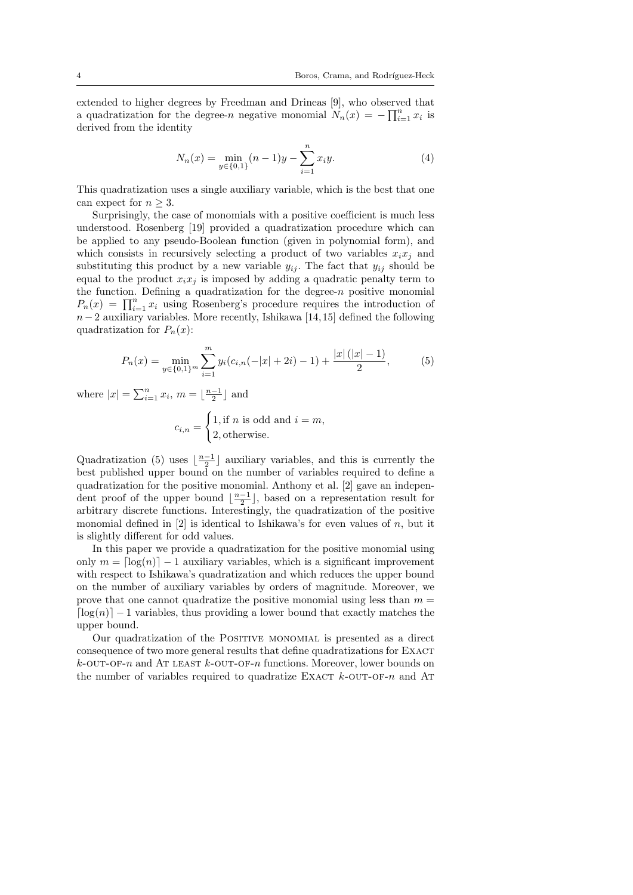extended to higher degrees by Freedman and Drineas [9], who observed that a quadratization for the degree-n negative monomial  $N_n(x) = -\prod_{i=1}^n x_i$  is derived from the identity

$$
N_n(x) = \min_{y \in \{0,1\}} (n-1)y - \sum_{i=1}^n x_i y.
$$
 (4)

This quadratization uses a single auxiliary variable, which is the best that one can expect for  $n \geq 3$ .

Surprisingly, the case of monomials with a positive coefficient is much less understood. Rosenberg [19] provided a quadratization procedure which can be applied to any pseudo-Boolean function (given in polynomial form), and which consists in recursively selecting a product of two variables  $x_i x_j$  and substituting this product by a new variable  $y_{ij}$ . The fact that  $y_{ij}$  should be equal to the product  $x_i x_j$  is imposed by adding a quadratic penalty term to the function. Defining a quadratization for the degree-n positive monomial  $P_n(x) = \prod_{i=1}^n x_i$  using Rosenberg's procedure requires the introduction of  $n-2$  auxiliary variables. More recently, Ishikawa [14,15] defined the following quadratization for  $P_n(x)$ :

$$
P_n(x) = \min_{y \in \{0,1\}^m} \sum_{i=1}^m y_i (c_{i,n}(-|x|+2i)-1) + \frac{|x|(|x|-1)}{2},\tag{5}
$$

where  $|x| = \sum_{i=1}^{n} x_i$ ,  $m = \lfloor \frac{n-1}{2} \rfloor$  and

$$
c_{i,n} = \begin{cases} 1, \text{if } n \text{ is odd and } i = m, \\ 2, \text{otherwise.} \end{cases}
$$

Quadratization (5) uses  $\lfloor \frac{n-1}{2} \rfloor$  auxiliary variables, and this is currently the best published upper bound on the number of variables required to define a quadratization for the positive monomial. Anthony et al. [2] gave an independent proof of the upper bound  $\lfloor \frac{n-1}{2} \rfloor$ , based on a representation result for arbitrary discrete functions. Interestingly, the quadratization of the positive monomial defined in  $[2]$  is identical to Ishikawa's for even values of n, but it is slightly different for odd values.

In this paper we provide a quadratization for the positive monomial using only  $m = \lceil \log(n) \rceil - 1$  auxiliary variables, which is a significant improvement with respect to Ishikawa's quadratization and which reduces the upper bound on the number of auxiliary variables by orders of magnitude. Moreover, we prove that one cannot quadratize the positive monomial using less than  $m =$  $\lceil \log(n) \rceil - 1$  variables, thus providing a lower bound that exactly matches the upper bound.

Our quadratization of the POSITIVE MONOMIAL is presented as a direct consequence of two more general results that define quadratizations for EXACT  $k$ -OUT-OF-n and AT LEAST  $k$ -OUT-OF-n functions. Moreover, lower bounds on the number of variables required to quadratize EXACT  $k$ -OUT-OF-n and AT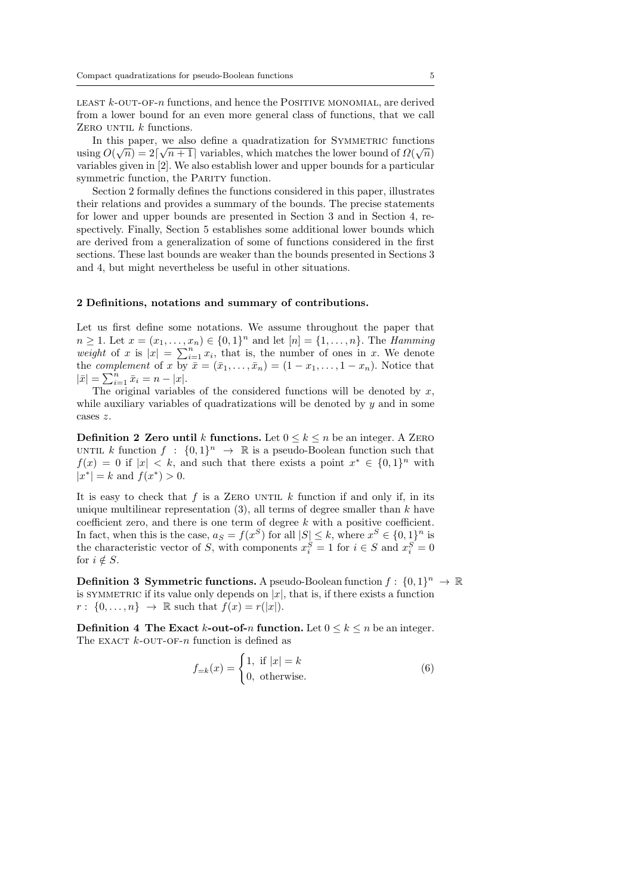LEAST  $k$ -OUT-OF-n functions, and hence the POSITIVE MONOMIAL, are derived from a lower bound for an even more general class of functions, that we call ZERO UNTIL  $k$  functions.

In this paper, we also define a quadratization for SYMMETRIC functions  $\alpha$  ( $\overline{O}$ ) using  $O(\sqrt{n}) = 2\lceil \sqrt{n+1} \rceil$  variables, which matches the lower bound of  $\Omega(\sqrt{n})$ variables given in [2]. We also establish lower and upper bounds for a particular symmetric function, the PARITY function.

Section 2 formally defines the functions considered in this paper, illustrates their relations and provides a summary of the bounds. The precise statements for lower and upper bounds are presented in Section 3 and in Section 4, respectively. Finally, Section 5 establishes some additional lower bounds which are derived from a generalization of some of functions considered in the first sections. These last bounds are weaker than the bounds presented in Sections 3 and 4, but might nevertheless be useful in other situations.

#### 2 Definitions, notations and summary of contributions.

Let us first define some notations. We assume throughout the paper that  $n \geq 1$ . Let  $x = (x_1, ..., x_n) \in \{0, 1\}^n$  and let  $[n] = \{1, ..., n\}$ . The *Hamming* weight of x is  $|x| = \sum_{i=1}^{n} x_i$ , that is, the number of ones in x. We denote the *complement* of x by  $\bar{x} = (\bar{x}_1, \ldots, \bar{x}_n) = (1 - x_1, \ldots, 1 - x_n)$ . Notice that  $|\bar{x}| = \sum_{i=1}^{n} \bar{x}_i = n - |x|.$ 

The original variables of the considered functions will be denoted by  $x$ , while auxiliary variables of quadratizations will be denoted by  $y$  and in some cases z.

**Definition 2 Zero until k functions.** Let  $0 \leq k \leq n$  be an integer. A ZERO UNTIL k function  $f : \{0,1\}^n \to \mathbb{R}$  is a pseudo-Boolean function such that  $f(x) = 0$  if  $|x| < k$ , and such that there exists a point  $x^* \in \{0,1\}^n$  with  $|x^*| = k$  and  $f(x^*) > 0$ .

It is easy to check that f is a ZERO UNTIL k function if and only if, in its unique multilinear representation  $(3)$ , all terms of degree smaller than k have coefficient zero, and there is one term of degree  $k$  with a positive coefficient. In fact, when this is the case,  $a_S = f(x^S)$  for all  $|S| \leq k$ , where  $x^S \in \{0,1\}^n$  is the characteristic vector of S, with components  $x_i^S = 1$  for  $i \in S$  and  $x_i^S = 0$ for  $i \notin S$ .

**Definition 3 Symmetric functions.** A pseudo-Boolean function  $f: \{0,1\}^n \to \mathbb{R}$ is SYMMETRIC if its value only depends on  $|x|$ , that is, if there exists a function  $r: \{0,\ldots,n\} \rightarrow \mathbb{R}$  such that  $f(x) = r(|x|)$ .

**Definition 4 The Exact k-out-of-n function.** Let  $0 \le k \le n$  be an integer. The EXACT  $k$ -OUT-OF-n function is defined as

$$
f_{=k}(x) = \begin{cases} 1, & \text{if } |x| = k \\ 0, & \text{otherwise.} \end{cases}
$$
 (6)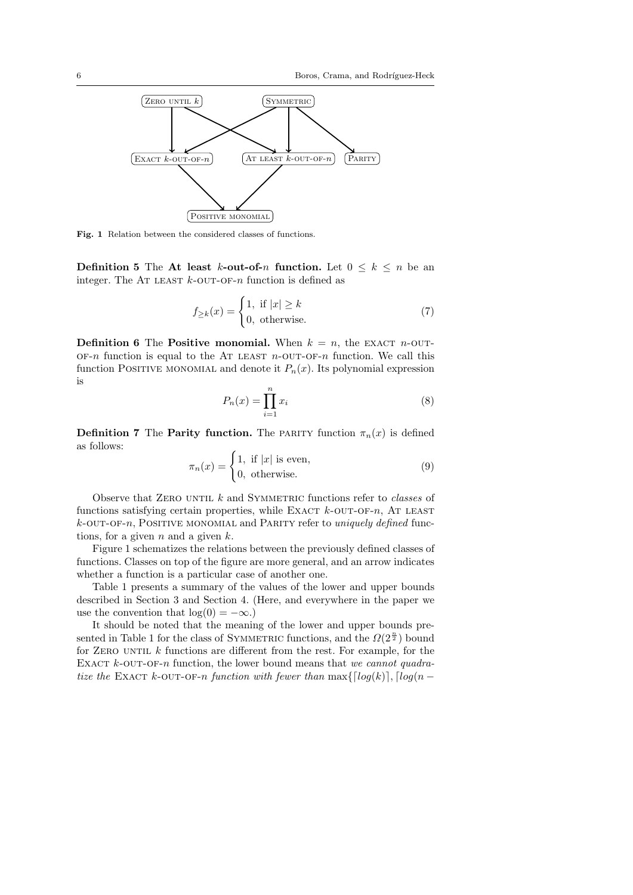

Fig. 1 Relation between the considered classes of functions.

**Definition 5** The At least k-out-of-n function. Let  $0 \leq k \leq n$  be an integer. The AT LEAST  $k$ -OUT-OF-n function is defined as

$$
f_{\geq k}(x) = \begin{cases} 1, & \text{if } |x| \geq k \\ 0, & \text{otherwise.} \end{cases}
$$
 (7)

**Definition 6** The **Positive monomial.** When  $k = n$ , the EXACT *n*-OUT- $OF-n$  function is equal to the AT LEAST  $n$ -OUT-OF-n function. We call this function POSITIVE MONOMIAL and denote it  $P_n(x)$ . Its polynomial expression is

$$
P_n(x) = \prod_{i=1}^n x_i
$$
\n(8)

**Definition 7** The **Parity function.** The PARITY function  $\pi_n(x)$  is defined as follows:

$$
\pi_n(x) = \begin{cases} 1, & \text{if } |x| \text{ is even,} \\ 0, & \text{otherwise.} \end{cases}
$$
 (9)

Observe that ZERO UNTIL  $k$  and SYMMETRIC functions refer to *classes* of functions satisfying certain properties, while EXACT  $k$ -OUT-OF-n, AT LEAST  $k$ -OUT-OF-n, POSITIVE MONOMIAL and PARITY refer to uniquely defined functions, for a given  $n$  and a given  $k$ .

Figure 1 schematizes the relations between the previously defined classes of functions. Classes on top of the figure are more general, and an arrow indicates whether a function is a particular case of another one.

Table 1 presents a summary of the values of the lower and upper bounds described in Section 3 and Section 4. (Here, and everywhere in the paper we use the convention that  $log(0) = -\infty$ .)

It should be noted that the meaning of the lower and upper bounds presented in Table 1 for the class of SYMMETRIC functions, and the  $\Omega(2^{\frac{n}{2}})$  bound for ZERO UNTIL  $k$  functions are different from the rest. For example, for the EXACT  $k$ -OUT-OF-n function, the lower bound means that we cannot quadratize the EXACT k-OUT-OF-n function with fewer than  $\max\{\lceil log(k)\rceil, \lceil log(n -$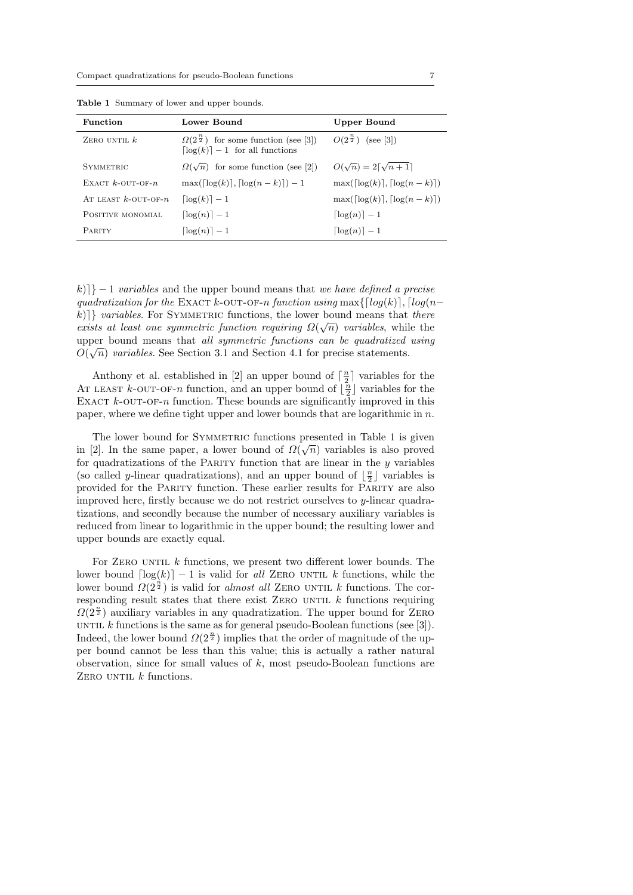| <b>Function</b>           | Lower Bound                                                                                            | Upper Bound                                            |
|---------------------------|--------------------------------------------------------------------------------------------------------|--------------------------------------------------------|
| ZERO UNTIL $k$            | $\Omega(2^{\frac{n}{2}})$ for some function (see [3])<br>$\lceil \log(k) \rceil - 1$ for all functions | $O(2^{\frac{n}{2}})$ (see [3])                         |
| <b>SYMMETRIC</b>          | $\Omega(\sqrt{n})$ for some function (see [2])                                                         | $O(\sqrt{n}) = 2\lceil \sqrt{n+1} \rceil$              |
| EXACT $k$ -OUT-OF- $n$    | $\max(\lceil \log(k) \rceil, \lceil \log(n-k) \rceil) - 1$                                             | $\max(\lceil \log(k) \rceil, \lceil \log(n-k) \rceil)$ |
| AT LEAST $k$ -OUT-OF- $n$ | $\lceil \log(k) \rceil - 1$                                                                            | $\max( \log(k) ,  \log(n-k) )$                         |
| POSITIVE MONOMIAL         | $\lceil \log(n) \rceil - 1$                                                                            | $\lceil \log(n) \rceil - 1$                            |
| <b>PARITY</b>             | $\log(n)$   $-1$                                                                                       | $\lceil \log(n) \rceil - 1$                            |

Table 1 Summary of lower and upper bounds.

k) $|k| = 1$  variables and the upper bound means that we have defined a precise quadratization for the EXACT k-OUT-OF-n function using max $\{[log(k)], [log(n$ k)]} variables. For SYMMETRIC functions, the lower bound means that there exists at least one symmetric function requiring  $\Omega(\sqrt{n})$  variables, while the upper bound means that all symmetric functions can be quadratized using  $O(\sqrt{m})$  $O(\sqrt{n})$  variables. See Section 3.1 and Section 4.1 for precise statements.

Anthony et al. established in [2] an upper bound of  $\lceil \frac{n}{2} \rceil$  variables for the AT LEAST  $k$ -OUT-OF-n function, and an upper bound of  $\lfloor \frac{n}{2} \rfloor$  variables for the EXACT  $k$ -OUT-OF-n function. These bounds are significantly improved in this paper, where we define tight upper and lower bounds that are logarithmic in  $n$ .

The lower bound for SYMMETRIC functions presented in Table 1 is given  $\Omega$ in [2]. In the same paper, a lower bound of  $\Omega(\sqrt{n})$  variables is also proved for quadratizations of the PARITY function that are linear in the  $y$  variables (so called y-linear quadratizations), and an upper bound of  $\lfloor \frac{n}{2} \rfloor$  variables is provided for the Parity function. These earlier results for Parity are also improved here, firstly because we do not restrict ourselves to  $y$ -linear quadratizations, and secondly because the number of necessary auxiliary variables is reduced from linear to logarithmic in the upper bound; the resulting lower and upper bounds are exactly equal.

For ZERO UNTIL  $k$  functions, we present two different lower bounds. The lower bound  $\lceil \log(k) \rceil - 1$  is valid for all ZERO UNTIL k functions, while the lower bound  $\Omega(\tilde{2}^{\frac{n}{2}})$  is valid for *almost all* ZERO UNTIL k functions. The corresponding result states that there exist ZERO UNTIL  $k$  functions requiring  $\Omega(2^{\frac{n}{2}})$  auxiliary variables in any quadratization. The upper bound for ZERO UNTIL k functions is the same as for general pseudo-Boolean functions (see  $[3]$ ). Indeed, the lower bound  $\Omega(2^{\frac{n}{2}})$  implies that the order of magnitude of the upper bound cannot be less than this value; this is actually a rather natural observation, since for small values of  $k$ , most pseudo-Boolean functions are ZERO UNTIL  $k$  functions.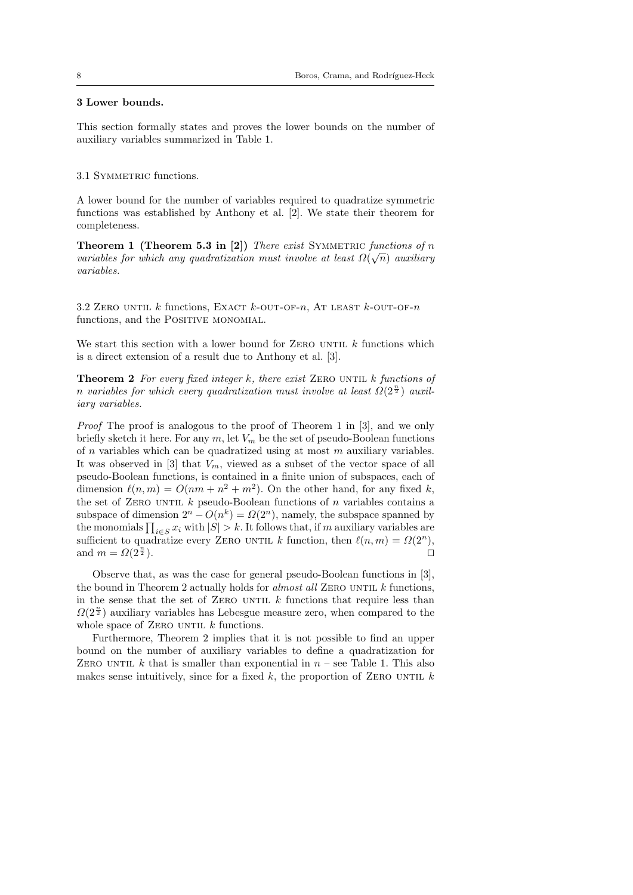## 3 Lower bounds.

This section formally states and proves the lower bounds on the number of auxiliary variables summarized in Table 1.

### 3.1 SYMMETRIC functions.

A lower bound for the number of variables required to quadratize symmetric functions was established by Anthony et al. [2]. We state their theorem for completeness.

Theorem 1 (Theorem 5.3 in [2]) There exist SYMMETRIC functions of n variables for which any quadratization must involve at least  $\Omega(\sqrt{n})$  auxiliary variables.

3.2 ZERO UNTIL  $k$  functions, EXACT  $k$ -OUT-OF-n, AT LEAST  $k$ -OUT-OF-n functions, and the POSITIVE MONOMIAL.

We start this section with a lower bound for ZERO UNTIL  $k$  functions which is a direct extension of a result due to Anthony et al. [3].

**Theorem 2** For every fixed integer k, there exist ZERO UNTIL k functions of n variables for which every quadratization must involve at least  $\Omega(2^{\frac{n}{2}})$  auxiliary variables.

Proof The proof is analogous to the proof of Theorem 1 in [3], and we only briefly sketch it here. For any  $m$ , let  $V_m$  be the set of pseudo-Boolean functions of  $n$  variables which can be quadratized using at most  $m$  auxiliary variables. It was observed in [3] that  $V_m$ , viewed as a subset of the vector space of all pseudo-Boolean functions, is contained in a finite union of subspaces, each of dimension  $\ell(n, m) = O(nm + n^2 + m^2)$ . On the other hand, for any fixed k, the set of ZERO UNTIL  $k$  pseudo-Boolean functions of  $n$  variables contains a subspace of dimension  $2^n - O(n^k) = \Omega(2^n)$ , namely, the subspace spanned by the monomials  $\prod_{i\in S} x_i$  with  $|S| > k$ . It follows that, if m auxiliary variables are sufficient to quadratize every ZERO UNTIL k function, then  $\ell(n, m) = \Omega(2^n)$ , and  $m = \Omega(2^{\frac{n}{2}})$ .  $\frac{n}{2}$ ).

Observe that, as was the case for general pseudo-Boolean functions in [3], the bound in Theorem 2 actually holds for *almost all ZERO UNTIL k* functions, in the sense that the set of ZERO UNTIL  $k$  functions that require less than  $\Omega(2^{\frac{n}{2}})$  auxiliary variables has Lebesgue measure zero, when compared to the whole space of ZERO UNTIL  $k$  functions.

Furthermore, Theorem 2 implies that it is not possible to find an upper bound on the number of auxiliary variables to define a quadratization for ZERO UNTIL k that is smaller than exponential in  $n$  – see Table 1. This also makes sense intuitively, since for a fixed  $k$ , the proportion of ZERO UNTIL  $k$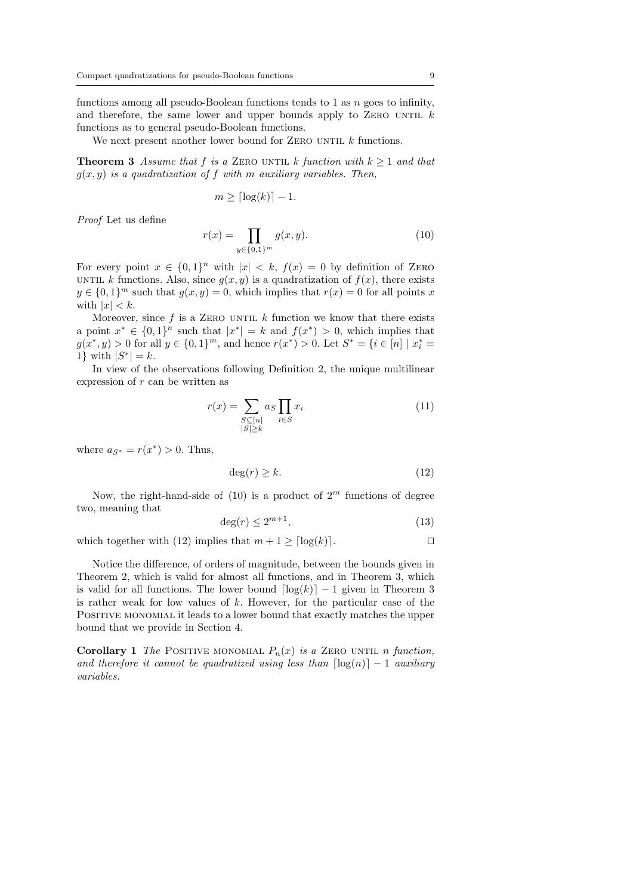functions among all pseudo-Boolean functions tends to 1 as n goes to infinity, and therefore, the same lower and upper bounds apply to ZERO UNTIL  $k$ functions as to general pseudo-Boolean functions.

We next present another lower bound for ZERO UNTIL  $k$  functions.

**Theorem 3** Assume that f is a ZERO UNTIL k function with  $k \geq 1$  and that  $g(x, y)$  is a quadratization of f with m auxiliary variables. Then,

$$
m \geq \lceil \log(k) \rceil - 1.
$$

Proof Let us define

$$
r(x) = \prod_{y \in \{0,1\}^m} g(x, y).
$$
 (10)

For every point  $x \in \{0,1\}^n$  with  $|x| < k$ ,  $f(x) = 0$  by definition of ZERO UNTIL k functions. Also, since  $q(x, y)$  is a quadratization of  $f(x)$ , there exists  $y \in \{0,1\}^m$  such that  $g(x, y) = 0$ , which implies that  $r(x) = 0$  for all points x with  $|x| < k$ .

Moreover, since  $f$  is a ZERO UNTIL  $k$  function we know that there exists a point  $x^* \in \{0,1\}^n$  such that  $|x^*|=k$  and  $f(x^*)>0$ , which implies that  $g(x^*, y) > 0$  for all  $y \in \{0, 1\}^m$ , and hence  $r(x^*) > 0$ . Let  $S^* = \{i \in [n] \mid x_i^* = 0\}$ 1} with  $|S^*|=k$ .

In view of the observations following Definition 2, the unique multilinear expression of r can be written as

$$
r(x) = \sum_{\substack{S \subseteq [n] \\ |S| \ge k}} a_S \prod_{i \in S} x_i \tag{11}
$$

where  $a_{S^*} = r(x^*) > 0$ . Thus,

$$
\deg(r) \ge k. \tag{12}
$$

Now, the right-hand-side of (10) is a product of  $2^m$  functions of degree two, meaning that

$$
\deg(r) \le 2^{m+1},\tag{13}
$$

which together with (12) implies that  $m + 1 > \lfloor \log(k) \rfloor$ .

Notice the difference, of orders of magnitude, between the bounds given in Theorem 2, which is valid for almost all functions, and in Theorem 3, which is valid for all functions. The lower bound  $\lceil \log(k) \rceil - 1$  given in Theorem 3 is rather weak for low values of  $k$ . However, for the particular case of the Positive monomial it leads to a lower bound that exactly matches the upper bound that we provide in Section 4.

**Corollary 1** The POSITIVE MONOMIAL  $P_n(x)$  is a ZERO UNTIL n function, and therefore it cannot be quadratized using less than  $\lceil \log(n) \rceil - 1$  auxiliary variables.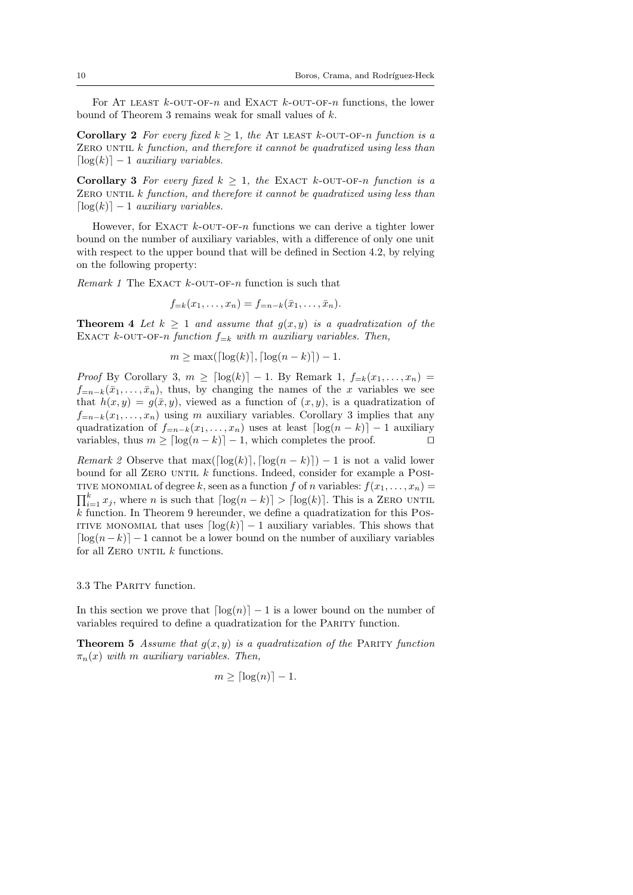For At least  $k$ -out-of-n and Exact  $k$ -out-of-n functions, the lower bound of Theorem 3 remains weak for small values of  $k$ .

Corollary 2 For every fixed  $k \geq 1$ , the AT LEAST k-OUT-OF-n function is a  $ZERO UNTIL k function, and therefore it cannot be quadratized using less than$  $\lceil \log(k) \rceil - 1$  auxiliary variables.

Corollary 3 For every fixed  $k > 1$ , the EXACT k-OUT-OF-n function is a ZERO UNTIL  $k$  function, and therefore it cannot be quadratized using less than  $\lceil \log(k) \rceil - 1$  auxiliary variables.

However, for EXACT  $k$ -OUT-OF-n functions we can derive a tighter lower bound on the number of auxiliary variables, with a difference of only one unit with respect to the upper bound that will be defined in Section 4.2, by relying on the following property:

Remark 1 The EXACT  $k$ -OUT-OF-n function is such that

$$
f_{=k}(x_1,\ldots,x_n) = f_{=n-k}(\bar{x}_1,\ldots,\bar{x}_n).
$$

**Theorem 4** Let  $k > 1$  and assume that  $q(x, y)$  is a quadratization of the EXACT k-OUT-OF-n function  $f_{-k}$  with m auxiliary variables. Then,

$$
m \ge \max(\lceil \log(k) \rceil, \lceil \log(n - k) \rceil) - 1.
$$

Proof By Corollary 3,  $m \geq \lceil \log(k) \rceil - 1$ . By Remark 1,  $f_{=k}(x_1, \ldots, x_n)$  $f_{=n-k}(\bar{x}_1,\ldots,\bar{x}_n)$ , thus, by changing the names of the x variables we see that  $h(x, y) = g(\bar{x}, y)$ , viewed as a function of  $(x, y)$ , is a quadratization of  $f_{=n-k}(x_1, \ldots, x_n)$  using m auxiliary variables. Corollary 3 implies that any quadratization of  $f_{=n-k}(x_1, \ldots, x_n)$  uses at least  $\lceil \log(n - k) \rceil - 1$  auxiliary variables, thus  $m \geq \lceil \log(n - k) \rceil - 1$ , which completes the proof.  $\Box$ 

*Remark 2* Observe that max $(\log(k), [\log(n - k)]) - 1$  is not a valid lower bound for all ZERO UNTIL  $k$  functions. Indeed, consider for example a POSI-TIVE MONOMIAL of degree k, seen as a function f of n variables:  $f(x_1, \ldots, x_n) =$  $\prod_{i=1}^{k} x_i$ , where *n* is such that  $\lceil \log(n - k) \rceil > \lceil \log(k) \rceil$ . This is a ZERO UNTIL  $k$  function. In Theorem 9 hereunder, we define a quadratization for this Pos-ITIVE MONOMIAL that uses  $\lceil \log(k) \rceil - 1$  auxiliary variables. This shows that  $\lceil \log(n - k) \rceil - 1$  cannot be a lower bound on the number of auxiliary variables for all ZERO UNTIL  $k$  functions.

3.3 The Parity function.

In this section we prove that  $\lceil \log(n) \rceil - 1$  is a lower bound on the number of variables required to define a quadratization for the PARITY function.

**Theorem 5** Assume that  $g(x, y)$  is a quadratization of the PARITY function  $\pi_n(x)$  with m auxiliary variables. Then,

$$
m \geq \lceil \log(n) \rceil - 1.
$$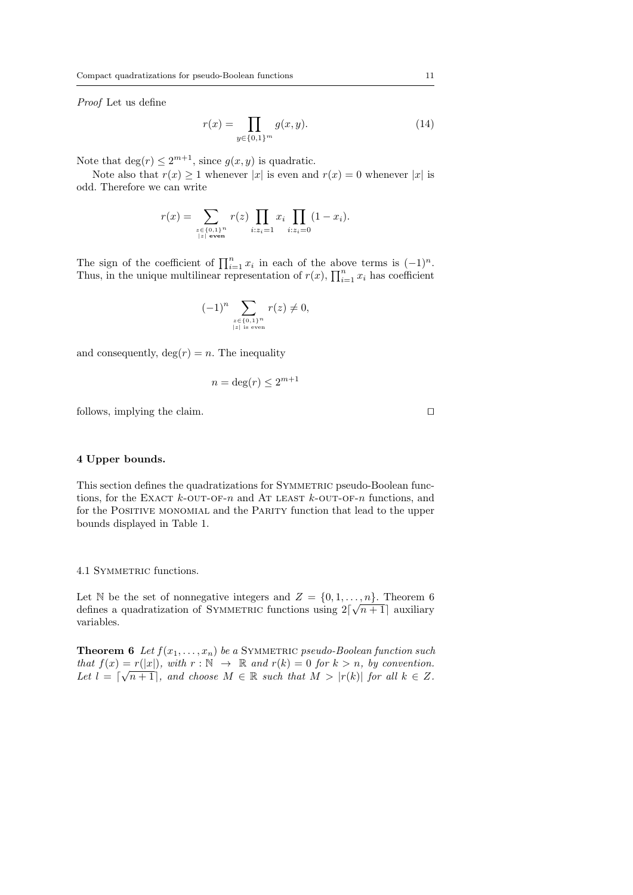Proof Let us define

$$
r(x) = \prod_{y \in \{0,1\}^m} g(x, y).
$$
 (14)

Note that  $\deg(r) \leq 2^{m+1}$ , since  $g(x, y)$  is quadratic.

Note also that  $r(x) \geq 1$  whenever |x| is even and  $r(x) = 0$  whenever |x| is odd. Therefore we can write

$$
r(x) = \sum_{\substack{z \in \{0,1\}^n \\ |z| \text{ even}}} r(z) \prod_{i:z_i=1} x_i \prod_{i:z_i=0} (1 - x_i).
$$

The sign of the coefficient of  $\prod_{i=1}^{n} x_i$  in each of the above terms is  $(-1)^n$ . Thus, in the unique multilinear representation of  $r(x)$ ,  $\prod_{i=1}^{n} x_i$  has coefficient

$$
(-1)^n \sum_{\substack{z \in \{0,1\}^n \\ |z| \text{ is even}}} r(z) \neq 0,
$$

and consequently,  $\deg(r) = n$ . The inequality

$$
n = \deg(r) \le 2^{m+1}
$$

follows, implying the claim.  $\Box$ 

## 4 Upper bounds.

This section defines the quadratizations for SYMMETRIC pseudo-Boolean functions, for the EXACT  $k$ -OUT-OF-n and AT LEAST  $k$ -OUT-OF-n functions, and for the POSITIVE MONOMIAL and the PARITY function that lead to the upper bounds displayed in Table 1.

4.1 SYMMETRIC functions.

Let N be the set of nonnegative integers and  $Z = \{0, 1, \ldots, n\}$ . Theorem 6 defines a quadratization of SYMMETRIC functions using  $2\lceil \sqrt{n+1} \rceil$  auxiliary variables.

**Theorem 6** Let  $f(x_1, \ldots, x_n)$  be a SYMMETRIC pseudo-Boolean function such that  $f(x) = r(|x|)$ , with  $r : \mathbb{N} \to \mathbb{R}$  and  $r(k) = 0$  for  $k > n$ , by convention. Let  $l = \lceil \sqrt{n+1} \rceil$ , and choose  $M \in \mathbb{R}$  such that  $M > |r(k)|$  for all  $k \in \mathbb{Z}$ .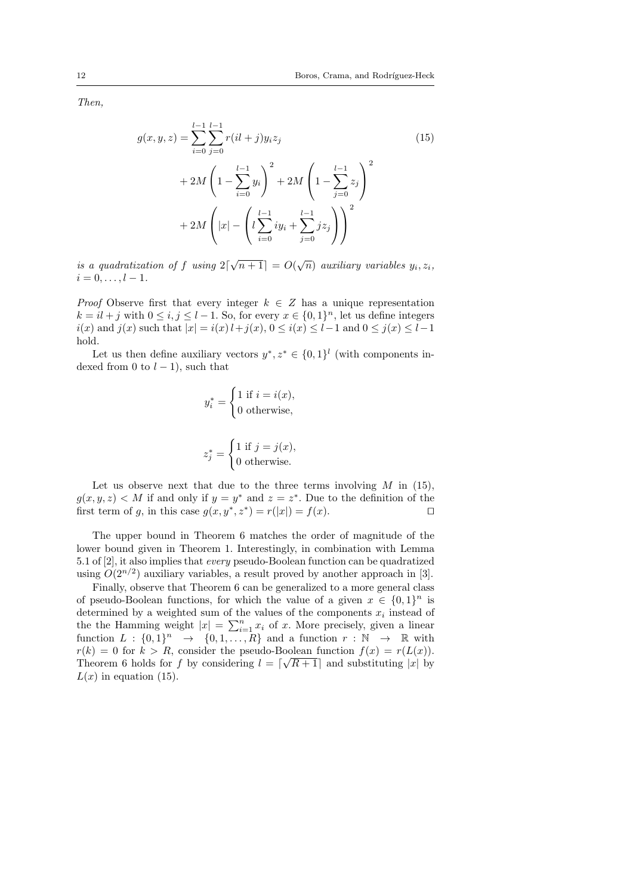Then,

$$
g(x, y, z) = \sum_{i=0}^{l-1} \sum_{j=0}^{l-1} r(ii+j)y_i z_j
$$
  
+ 
$$
2M \left(1 - \sum_{i=0}^{l-1} y_i\right)^2 + 2M \left(1 - \sum_{j=0}^{l-1} z_j\right)^2
$$
  
+ 
$$
2M \left(|x| - \left(l \sum_{i=0}^{l-1} iy_i + \sum_{j=0}^{l-1} j z_j\right)\right)^2
$$
 (15)

is a quadratization of f using  $2\lceil \sqrt{n+1} \rceil = O(\sqrt{n})$  auxiliary variables  $y_i, z_i$ ,  $i = 0, \ldots, l - 1.$ 

*Proof* Observe first that every integer  $k \in \mathbb{Z}$  has a unique representation  $k = il + j$  with  $0 \le i, j \le l - 1$ . So, for every  $x \in \{0, 1\}^n$ , let us define integers *i*(*x*) and *j*(*x*) such that  $|x| = i(x)$ *l* + *j*(*x*), 0 ≤ *i*(*x*) ≤ *l* − 1 and 0 ≤ *j*(*x*) ≤ *l* − 1 hold.

Let us then define auxiliary vectors  $y^*, z^* \in \{0,1\}^l$  (with components indexed from 0 to  $l - 1$ ), such that

$$
y_i^* = \begin{cases} 1 \text{ if } i = i(x), \\ 0 \text{ otherwise,} \end{cases}
$$

$$
z_j^* = \begin{cases} 1 \text{ if } j = j(x), \\ 0 \text{ otherwise.} \end{cases}
$$

Let us observe next that due to the three terms involving  $M$  in (15),  $g(x, y, z) < M$  if and only if  $y = y^*$  and  $z = z^*$ . Due to the definition of the first term of g, in this case  $g(x, y^*, z^*) = r(|x|) = f(x)$ .

The upper bound in Theorem 6 matches the order of magnitude of the lower bound given in Theorem 1. Interestingly, in combination with Lemma 5.1 of [2], it also implies that every pseudo-Boolean function can be quadratized using  $O(2^{n/2})$  auxiliary variables, a result proved by another approach in [3].

Finally, observe that Theorem 6 can be generalized to a more general class of pseudo-Boolean functions, for which the value of a given  $x \in \{0,1\}^n$  is determined by a weighted sum of the values of the components  $x_i$  instead of the the Hamming weight  $|x| = \sum_{i=1}^{n} x_i$  of x. More precisely, given a linear function  $L : \{0,1\}^n \rightarrow \{0,1,\ldots,R\}$  and a function  $r : \mathbb{N} \rightarrow \mathbb{R}$  with  $r(k) = 0$  for  $k > R$ , consider the pseudo-Boolean function  $f(x) = r(L(x))$ . Theorem 6 holds for f by considering  $l = \lceil \sqrt{R+1} \rceil$  and substituting |x| by  $L(x)$  in equation (15).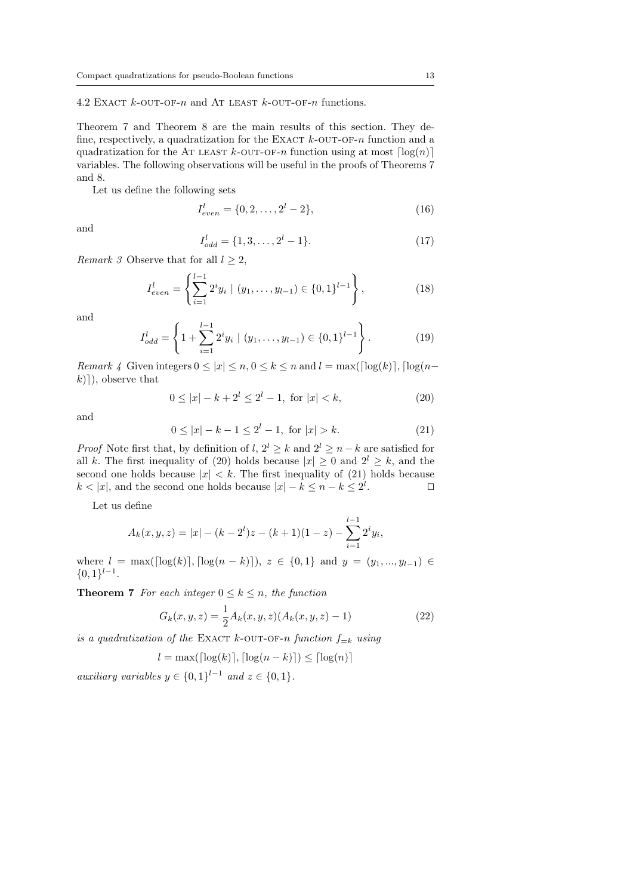4.2 EXACT  $k$ -OUT-OF-n and AT LEAST  $k$ -OUT-OF-n functions.

Theorem 7 and Theorem 8 are the main results of this section. They define, respectively, a quadratization for the EXACT  $k$ -OUT-OF-n function and a quadratization for the AT LEAST  $k$ -OUT-OF-n function using at most  $\lceil \log(n) \rceil$ variables. The following observations will be useful in the proofs of Theorems 7 and 8.

Let us define the following sets

$$
I_{even}^l = \{0, 2, \dots, 2^l - 2\},\tag{16}
$$

and

$$
I_{odd}^l = \{1, 3, \dots, 2^l - 1\}.
$$
\n(17)

Remark 3 Observe that for all  $l \geq 2$ ,

$$
I_{even}^l = \left\{ \sum_{i=1}^{l-1} 2^i y_i \mid (y_1, \dots, y_{l-1}) \in \{0, 1\}^{l-1} \right\},\tag{18}
$$

and

$$
I_{odd}^{l} = \left\{ 1 + \sum_{i=1}^{l-1} 2^{i} y_i \mid (y_1, \dots, y_{l-1}) \in \{0, 1\}^{l-1} \right\}.
$$
 (19)

Remark 4 Given integers  $0 \le |x| \le n, 0 \le k \le n$  and  $l = \max(\lceil \log(k) \rceil, \lceil \log(n-1) \rceil)$  $k)$ ], observe that

$$
0 \le |x| - k + 2^l \le 2^l - 1, \text{ for } |x| < k,\tag{20}
$$

and

$$
0 \le |x| - k - 1 \le 2^l - 1, \text{ for } |x| > k. \tag{21}
$$

*Proof* Note first that, by definition of l,  $2^{l} \geq k$  and  $2^{l} \geq n - k$  are satisfied for all k. The first inequality of (20) holds because  $|x| \ge 0$  and  $2^l \ge k$ , and the second one holds because  $|x| < k$ . The first inequality of (21) holds because  $k < |x|$ , and the second one holds because  $|x| - k \leq n - k \leq 2^l$ . The contract  $\Box$ 

Let us define

$$
A_k(x, y, z) = |x| - (k - 2^l)z - (k + 1)(1 - z) - \sum_{i=1}^{l-1} 2^i y_i,
$$

where  $l = \max(\lceil \log(k) \rceil, \lceil \log(n - k) \rceil), z \in \{0, 1\}$  and  $y = (y_1, ..., y_{l-1}) \in$  $\{0,1\}^{l-1}.$ 

**Theorem 7** For each integer  $0 \leq k \leq n$ , the function

$$
G_k(x, y, z) = \frac{1}{2} A_k(x, y, z) (A_k(x, y, z) - 1)
$$
\n(22)

is a quadratization of the EXACT k-OUT-OF-n function  $f_{=k}$  using

$$
l = \max(\lceil \log(k) \rceil, \lceil \log(n - k) \rceil) \le \lceil \log(n) \rceil
$$

auxiliary variables  $y \in \{0,1\}^{l-1}$  and  $z \in \{0,1\}$ .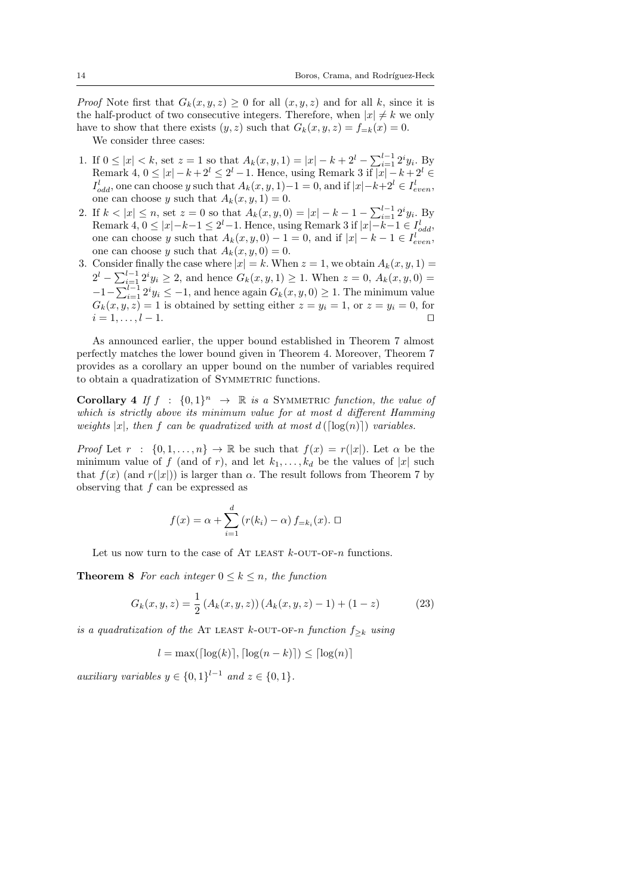*Proof* Note first that  $G_k(x, y, z) \geq 0$  for all  $(x, y, z)$  and for all k, since it is the half-product of two consecutive integers. Therefore, when  $|x| \neq k$  we only have to show that there exists  $(y, z)$  such that  $G_k(x, y, z) = f_{=k}(x) = 0$ .

We consider three cases:

- 1. If  $0 \leq |x| < k$ , set  $z = 1$  so that  $A_k(x, y, 1) = |x| k + 2^l \sum_{i=1}^{l-1} 2^i y_i$ . By Remark 4,  $0 \leq |x| - k + 2^l \leq 2^l - 1$ . Hence, using Remark 3 if  $|x| - k + 2^l \in$  $I_{odd}^l$ , one can choose y such that  $A_k(x, y, 1) - 1 = 0$ , and if  $|x| - k + 2^l \in I_{even}^l$ , one can choose y such that  $A_k(x, y, 1) = 0$ .
- 2. If  $k < |x| \le n$ , set  $z = 0$  so that  $A_k(x, y, 0) = |x| k 1 \sum_{i=1}^{l-1} 2^i y_i$ . By Remark 4,  $0 \leq |x| - k - 1 \leq 2^l - 1$ . Hence, using Remark 3 if  $|x| - k - 1 \in I_{odd}^l$ , one can choose y such that  $A_k(x, y, 0) - 1 = 0$ , and if  $|x| - k - 1 \in I_{even}^l$ , one can choose y such that  $A_k(x, y, 0) = 0$ .
- 3. Consider finally the case where  $|x| = k$ . When  $z = 1$ , we obtain  $A_k(x, y, 1) =$  $2^l - \sum_{i=1}^{l-1} 2^i y_i \geq 2$ , and hence  $G_k(x, y, 1) \geq 1$ . When  $z = 0$ ,  $A_k(x, y, 0) =$  $-1-\sum_{i=1}^{l-1} 2^i y_i \leq -1$ , and hence again  $G_k(x, y, 0) \geq 1$ . The minimum value  $G_k(x, y, z) = 1$  is obtained by setting either  $z = y_i = 1$ , or  $z = y_i = 0$ , for  $i = 1, \ldots, l - 1.$

As announced earlier, the upper bound established in Theorem 7 almost perfectly matches the lower bound given in Theorem 4. Moreover, Theorem 7 provides as a corollary an upper bound on the number of variables required to obtain a quadratization of SYMMETRIC functions.

**Corollary 4** If  $f : \{0,1\}^n \rightarrow \mathbb{R}$  is a SYMMETRIC function, the value of which is strictly above its minimum value for at most d different Hamming weights |x|, then f can be quadratized with at most  $d(\lceil \log(n) \rceil)$  variables.

*Proof* Let  $r : \{0, 1, ..., n\} \to \mathbb{R}$  be such that  $f(x) = r(|x|)$ . Let  $\alpha$  be the minimum value of f (and of r), and let  $k_1, \ldots, k_d$  be the values of |x| such that  $f(x)$  (and  $r(|x|)$ ) is larger than  $\alpha$ . The result follows from Theorem 7 by observing that  $f$  can be expressed as

$$
f(x) = \alpha + \sum_{i=1}^{d} (r(k_i) - \alpha) f_{=k_i}(x). \ \Box
$$

Let us now turn to the case of AT LEAST  $k$ -OUT-OF-n functions.

**Theorem 8** For each integer  $0 \leq k \leq n$ , the function

$$
G_k(x, y, z) = \frac{1}{2} \left( A_k(x, y, z) \right) \left( A_k(x, y, z) - 1 \right) + (1 - z) \tag{23}
$$

is a quadratization of the AT LEAST k-OUT-OF-n function  $f_{\geq k}$  using

$$
l = \max(\lceil \log(k) \rceil, \lceil \log(n - k) \rceil) \le \lceil \log(n) \rceil
$$

auxiliary variables  $y \in \{0,1\}^{l-1}$  and  $z \in \{0,1\}$ .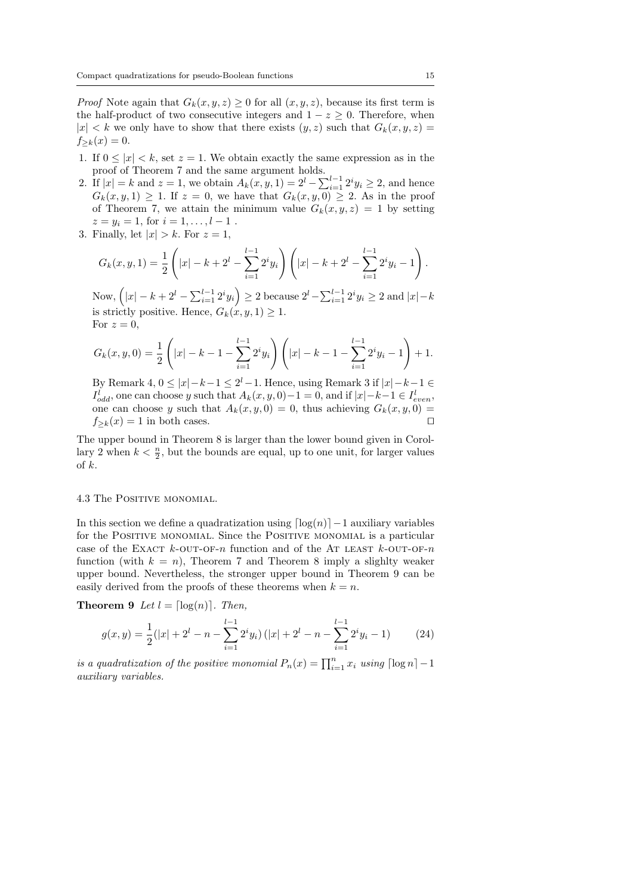*Proof* Note again that  $G_k(x, y, z) \geq 0$  for all  $(x, y, z)$ , because its first term is the half-product of two consecutive integers and  $1 - z \geq 0$ . Therefore, when  $|x| < k$  we only have to show that there exists  $(y, z)$  such that  $G_k(x, y, z) =$  $f_{\geq k}(x) = 0.$ 

- 1. If  $0 \leq |x| < k$ , set  $z = 1$ . We obtain exactly the same expression as in the proof of Theorem 7 and the same argument holds.
- 2. If  $|x| = k$  and  $z = 1$ , we obtain  $A_k(x, y, 1) = 2^l \sum_{i=1}^{l-1} 2^i y_i \ge 2$ , and hence  $G_k(x, y, 1) \geq 1$ . If  $z = 0$ , we have that  $G_k(x, y, 0) \geq 2$ . As in the proof of Theorem 7, we attain the minimum value  $G_k(x, y, z) = 1$  by setting  $z = y_i = 1$ , for  $i = 1, ..., l - 1$ .
- 3. Finally, let  $|x| > k$ . For  $z = 1$ ,

$$
G_k(x, y, 1) = \frac{1}{2} \left( |x| - k + 2^l - \sum_{i=1}^{l-1} 2^i y_i \right) \left( |x| - k + 2^l - \sum_{i=1}^{l-1} 2^i y_i - 1 \right).
$$

Now,  $(|x| - k + 2^l - \sum_{i=1}^{l-1} 2^i y_i) \ge 2$  because  $2^l - \sum_{i=1}^{l-1} 2^i y_i \ge 2$  and  $|x| - k$ is strictly positive. Hence,  $G_k(x, y, 1) \geq 1$ . For  $z=0$ ,

$$
G_k(x, y, 0) = \frac{1}{2} \left( |x| - k - 1 - \sum_{i=1}^{l-1} 2^i y_i \right) \left( |x| - k - 1 - \sum_{i=1}^{l-1} 2^i y_i - 1 \right) + 1.
$$

By Remark 4,  $0 \leq |x| - k - 1 \leq 2^l - 1$ . Hence, using Remark 3 if  $|x| - k - 1 \in$  $I_{odd}^l$ , one can choose y such that  $A_k(x, y, 0) - 1 = 0$ , and if  $|x| - k - 1 \in I_{even}^l$ , one can choose y such that  $A_k(x, y, 0) = 0$ , thus achieving  $G_k(x, y, 0) =$  $f_{\geq k}(x) = 1$  in both cases.

The upper bound in Theorem 8 is larger than the lower bound given in Corollary 2 when  $k < \frac{n}{2}$ , but the bounds are equal, up to one unit, for larger values of k.

#### 4.3 The Positive monomial.

In this section we define a quadratization using  $\lfloor \log(n) \rfloor -1$  auxiliary variables for the POSITIVE MONOMIAL. Since the POSITIVE MONOMIAL is a particular case of the EXACT  $k$ -OUT-OF-n function and of the AT LEAST  $k$ -OUT-OF-n function (with  $k = n$ ), Theorem 7 and Theorem 8 imply a slighlty weaker upper bound. Nevertheless, the stronger upper bound in Theorem 9 can be easily derived from the proofs of these theorems when  $k = n$ .

**Theorem 9** Let  $l = \lceil \log(n) \rceil$ . Then,

$$
g(x,y) = \frac{1}{2}(|x| + 2^l - n - \sum_{i=1}^{l-1} 2^i y_i) (|x| + 2^l - n - \sum_{i=1}^{l-1} 2^i y_i - 1)
$$
 (24)

is a quadratization of the positive monomial  $P_n(x) = \prod_{i=1}^n x_i$  using  $\lceil \log n \rceil - 1$ auxiliary variables.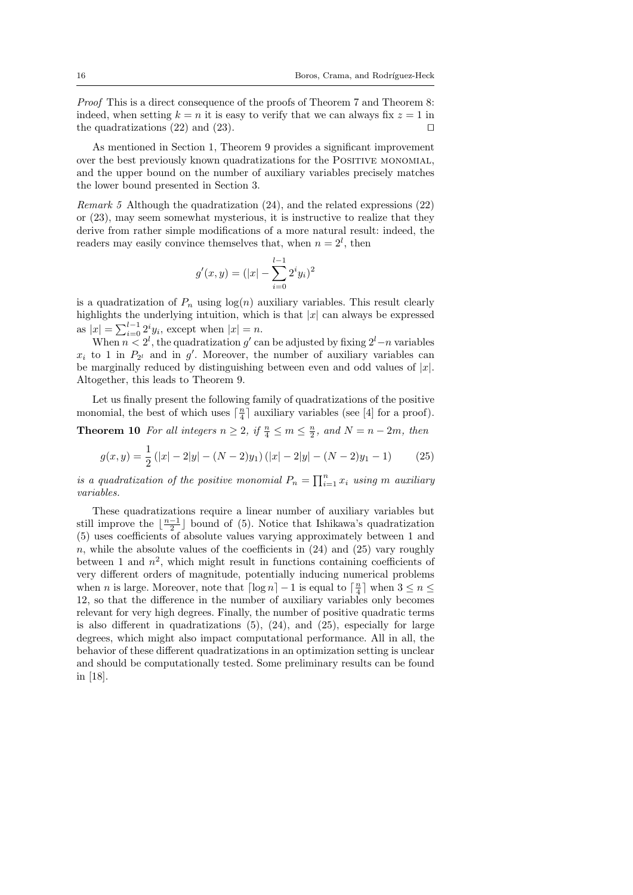Proof This is a direct consequence of the proofs of Theorem 7 and Theorem 8: indeed, when setting  $k = n$  it is easy to verify that we can always fix  $z = 1$  in the quadratizations (22) and (23).  $\Box$ 

As mentioned in Section 1, Theorem 9 provides a significant improvement over the best previously known quadratizations for the Positive monomial, and the upper bound on the number of auxiliary variables precisely matches the lower bound presented in Section 3.

Remark 5 Although the quadratization (24), and the related expressions (22) or (23), may seem somewhat mysterious, it is instructive to realize that they derive from rather simple modifications of a more natural result: indeed, the readers may easily convince themselves that, when  $n = 2^l$ , then

$$
g'(x,y) = (|x| - \sum_{i=0}^{l-1} 2^i y_i)^2
$$

is a quadratization of  $P_n$  using  $log(n)$  auxiliary variables. This result clearly highlights the underlying intuition, which is that  $|x|$  can always be expressed as  $|x| = \sum_{i=0}^{l-1} 2^i y_i$ , except when  $|x| = n$ .

When  $n < 2^l$ , the quadratization g' can be adjusted by fixing  $2^l - n$  variables  $x_i$  to 1 in  $P_{2^l}$  and in g'. Moreover, the number of auxiliary variables can be marginally reduced by distinguishing between even and odd values of  $|x|$ . Altogether, this leads to Theorem 9.

Let us finally present the following family of quadratizations of the positive monomial, the best of which uses  $\lceil \frac{n}{4} \rceil$  auxiliary variables (see [4] for a proof).

**Theorem 10** For all integers  $n \geq 2$ , if  $\frac{n}{4} \leq m \leq \frac{n}{2}$ , and  $N = n - 2m$ , then

$$
g(x,y) = \frac{1}{2} (|x| - 2|y| - (N - 2)y_1)(|x| - 2|y| - (N - 2)y_1 - 1)
$$
 (25)

is a quadratization of the positive monomial  $P_n = \prod_{i=1}^n x_i$  using m auxiliary variables.

These quadratizations require a linear number of auxiliary variables but still improve the  $\lfloor \frac{n-1}{2} \rfloor$  bound of (5). Notice that Ishikawa's quadratization (5) uses coefficients of absolute values varying approximately between 1 and n, while the absolute values of the coefficients in  $(24)$  and  $(25)$  vary roughly between 1 and  $n^2$ , which might result in functions containing coefficients of very different orders of magnitude, potentially inducing numerical problems when *n* is large. Moreover, note that  $\lceil \log n \rceil - 1$  is equal to  $\lceil \frac{n}{4} \rceil$  when  $3 \le n \le$ 12, so that the difference in the number of auxiliary variables only becomes relevant for very high degrees. Finally, the number of positive quadratic terms is also different in quadratizations  $(5)$ ,  $(24)$ , and  $(25)$ , especially for large degrees, which might also impact computational performance. All in all, the behavior of these different quadratizations in an optimization setting is unclear and should be computationally tested. Some preliminary results can be found in [18].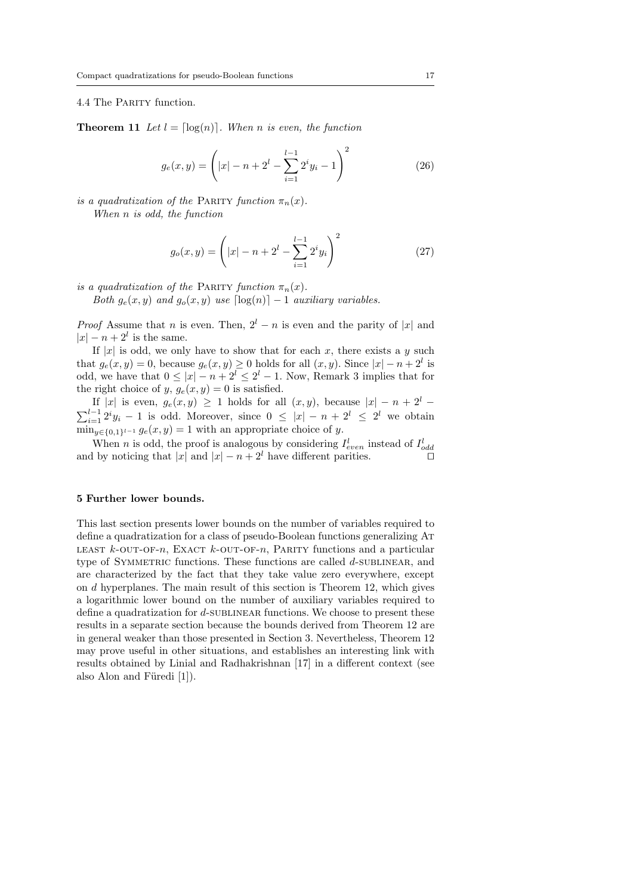#### 4.4 The PARITY function.

**Theorem 11** Let  $l = \lceil \log(n) \rceil$ . When n is even, the function

$$
g_e(x,y) = \left(|x| - n + 2^l - \sum_{i=1}^{l-1} 2^i y_i - 1\right)^2 \tag{26}
$$

is a quadratization of the PARITY function  $\pi_n(x)$ .

When n is odd, the function

$$
g_o(x,y) = \left(|x| - n + 2^l - \sum_{i=1}^{l-1} 2^i y_i\right)^2 \tag{27}
$$

is a quadratization of the PARITY function  $\pi_n(x)$ .

Both  $g_e(x, y)$  and  $g_o(x, y)$  use  $\lceil log(n) \rceil - 1$  auxiliary variables.

*Proof* Assume that *n* is even. Then,  $2^{l} - n$  is even and the parity of |x| and  $|x| - n + 2^l$  is the same.

If |x| is odd, we only have to show that for each x, there exists a y such that  $g_e(x, y) = 0$ , because  $g_e(x, y) \ge 0$  holds for all  $(x, y)$ . Since  $|x| - n + 2^l$  is odd, we have that  $0 \leq |x| - n + 2^l \leq 2^l - 1$ . Now, Remark 3 implies that for the right choice of y,  $g_e(x, y) = 0$  is satisfied.

If |x| is even,  $g_e(x, y) \ge 1$  holds for all  $(x, y)$ , because  $|x| - n + 2^l$  $\sum_{i=1}^{l-1} 2^i y_i - 1$  is odd. Moreover, since  $0 \leq |x| - n + 2^l \leq 2^l$  we obtain  $\min_{y \in \{0,1\}^{l-1}} g_e(x, y) = 1$  with an appropriate choice of y.

When *n* is odd, the proof is analogous by considering  $I_{even}^l$  instead of  $I_{odd}^l$ and by noticing that  $|x|$  and  $|x| - n + 2^l$  have different parities.

#### 5 Further lower bounds.

This last section presents lower bounds on the number of variables required to define a quadratization for a class of pseudo-Boolean functions generalizing At LEAST  $k$ -OUT-OF-n, EXACT  $k$ -OUT-OF-n, PARITY functions and a particular type of SYMMETRIC functions. These functions are called d-SUBLINEAR, and are characterized by the fact that they take value zero everywhere, except on d hyperplanes. The main result of this section is Theorem 12, which gives a logarithmic lower bound on the number of auxiliary variables required to define a quadratization for  $d$ -SUBLINEAR functions. We choose to present these results in a separate section because the bounds derived from Theorem 12 are in general weaker than those presented in Section 3. Nevertheless, Theorem 12 may prove useful in other situations, and establishes an interesting link with results obtained by Linial and Radhakrishnan [17] in a different context (see also Alon and Füredi  $[1]$ .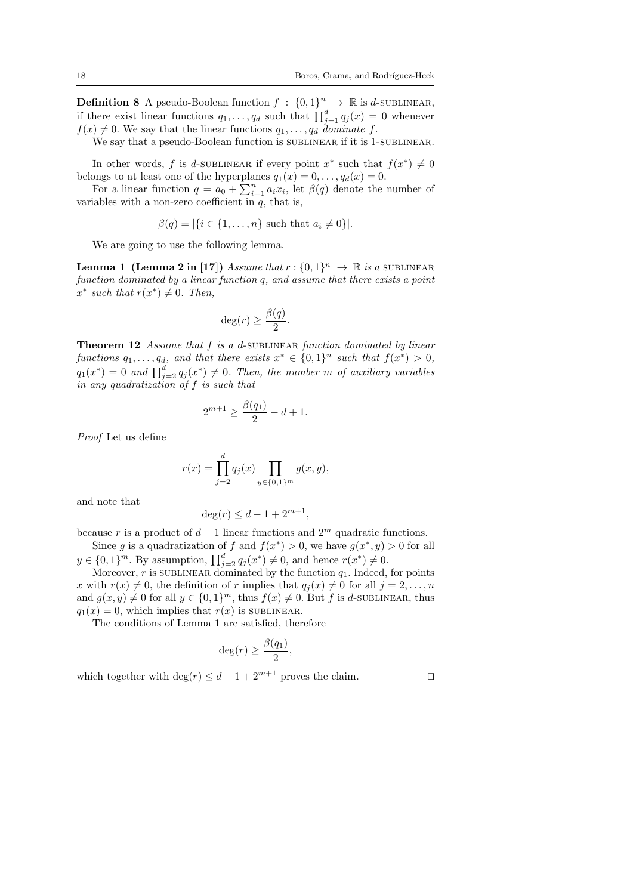**Definition 8** A pseudo-Boolean function  $f : \{0,1\}^n \to \mathbb{R}$  is d-SUBLINEAR, if there exist linear functions  $q_1, \ldots, q_d$  such that  $\prod_{j=1}^d q_j(x) = 0$  whenever  $f(x) \neq 0$ . We say that the linear functions  $q_1, \ldots, q_d$  dominate f.

We say that a pseudo-Boolean function is SUBLINEAR if it is 1-SUBLINEAR.

In other words, f is d-SUBLINEAR if every point  $x^*$  such that  $f(x^*) \neq 0$ belongs to at least one of the hyperplanes  $q_1(x) = 0, \ldots, q_d(x) = 0$ .

For a linear function  $q = a_0 + \sum_{i=1}^n a_i x_i$ , let  $\beta(q)$  denote the number of variables with a non-zero coefficient in  $q$ , that is,

$$
\beta(q) = |\{i \in \{1, \ldots, n\} \text{ such that } a_i \neq 0\}|.
$$

We are going to use the following lemma.

**Lemma 1** (Lemma 2 in [17]) Assume that  $r: \{0, 1\}^n \to \mathbb{R}$  is a SUBLINEAR function dominated by a linear function q, and assume that there exists a point  $x^*$  such that  $r(x^*) \neq 0$ . Then,

$$
\deg(r) \ge \frac{\beta(q)}{2}.
$$

Theorem 12 Assume that f is a d-SUBLINEAR function dominated by linear functions  $q_1, \ldots, q_d$ , and that there exists  $x^* \in \{0,1\}^n$  such that  $f(x^*) > 0$ ,  $q_1(x^*) = 0$  and  $\prod_{j=2}^d q_j(x^*) \neq 0$ . Then, the number m of auxiliary variables in any quadratization of f is such that

$$
2^{m+1}\geq \frac{\beta(q_1)}{2}-d+1.
$$

Proof Let us define

$$
r(x) = \prod_{j=2}^{d} q_j(x) \prod_{y \in \{0,1\}^m} g(x, y),
$$

and note that

$$
\deg(r) \le d - 1 + 2^{m+1}
$$

,

because r is a product of  $d-1$  linear functions and  $2^m$  quadratic functions. Since g is a quadratization of f and  $f(x^*) > 0$ , we have  $g(x^*, y) > 0$  for all

 $y \in \{0,1\}^m$ . By assumption,  $\prod_{j=2}^d q_j(x^*) \neq 0$ , and hence  $r(x^*) \neq 0$ .

Moreover,  $r$  is SUBLINEAR dominated by the function  $q_1$ . Indeed, for points x with  $r(x) \neq 0$ , the definition of r implies that  $q_j(x) \neq 0$  for all  $j = 2, ..., n$ and  $g(x, y) \neq 0$  for all  $y \in \{0, 1\}^m$ , thus  $f(x) \neq 0$ . But f is d-SUBLINEAR, thus  $q_1(x) = 0$ , which implies that  $r(x)$  is SUBLINEAR.

The conditions of Lemma 1 are satisfied, therefore

$$
\deg(r) \ge \frac{\beta(q_1)}{2},
$$

which together with  $\deg(r) \leq d-1+2^{m+1}$  proves the claim.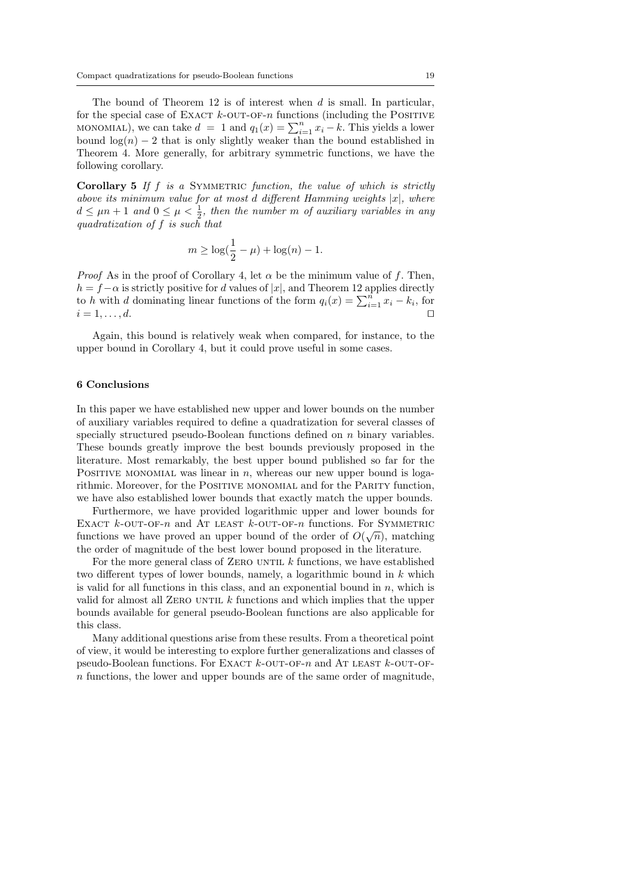The bound of Theorem 12 is of interest when  $d$  is small. In particular, for the special case of EXACT  $k$ -OUT-OF-n functions (including the POSITIVE MONOMIAL), we can take  $d = 1$  and  $q_1(x) = \sum_{i=1}^{n} x_i - k$ . This yields a lower bound  $\log(n) - 2$  that is only slightly weaker than the bound established in Theorem 4. More generally, for arbitrary symmetric functions, we have the following corollary.

**Corollary 5** If  $f$  is a SYMMETRIC function, the value of which is strictly above its minimum value for at most d different Hamming weights  $|x|$ , where  $d \leq \mu n + 1$  and  $0 \leq \mu < \frac{1}{2}$ , then the number m of auxiliary variables in any quadratization of f is such that

$$
m \ge \log(\frac{1}{2} - \mu) + \log(n) - 1.
$$

*Proof* As in the proof of Corollary 4, let  $\alpha$  be the minimum value of f. Then,  $h = f - \alpha$  is strictly positive for d values of |x|, and Theorem 12 applies directly to h with d dominating linear functions of the form  $q_i(x) = \sum_{i=1}^n x_i - k_i$ , for  $i = 1, \ldots, d.$ 

Again, this bound is relatively weak when compared, for instance, to the upper bound in Corollary 4, but it could prove useful in some cases.

#### 6 Conclusions

In this paper we have established new upper and lower bounds on the number of auxiliary variables required to define a quadratization for several classes of specially structured pseudo-Boolean functions defined on  $n$  binary variables. These bounds greatly improve the best bounds previously proposed in the literature. Most remarkably, the best upper bound published so far for the POSITIVE MONOMIAL was linear in  $n$ , whereas our new upper bound is logarithmic. Moreover, for the POSITIVE MONOMIAL and for the PARITY function, we have also established lower bounds that exactly match the upper bounds.

Furthermore, we have provided logarithmic upper and lower bounds for EXACT  $k$ -OUT-OF-n and AT LEAST  $k$ -OUT-OF-n functions. For SYMMETRIC functions we have proved an upper bound of the order of  $O(\sqrt{n})$ , matching the order of magnitude of the best lower bound proposed in the literature.

For the more general class of ZERO UNTIL  $k$  functions, we have established two different types of lower bounds, namely, a logarithmic bound in k which is valid for all functions in this class, and an exponential bound in  $n$ , which is valid for almost all ZERO UNTIL  $k$  functions and which implies that the upper bounds available for general pseudo-Boolean functions are also applicable for this class.

Many additional questions arise from these results. From a theoretical point of view, it would be interesting to explore further generalizations and classes of pseudo-Boolean functions. For EXACT  $k$ -OUT-OF-n and AT LEAST  $k$ -OUT-OFn functions, the lower and upper bounds are of the same order of magnitude,